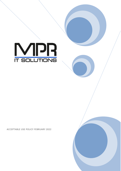

ACCEPTABLE USE POLICY FEBRUARY 2022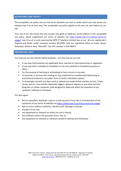#### **ACCEPTABLE USE POLICY**

This acceptable use policy sets out the terms between you and us under which you may access our website mpr-it.co.uk (our site). This acceptable use policy applies to all users of, and visitors to, our site.

Your use of our site means that you accept, and agree to abide by, all the policies in this acceptable use policy, which supplement our terms of website use https://www.mpr-it.co.uk/our-terms-ofusage/: mpr-it.co.uk is a site operated by MPR IT Solutions Limited (we or us). We are registered in England and Wales under company number 6612290, with our registered office at Fraser House, Henwood, Ashford, Kent, TN24 8DT. Our VAT number is 934 4890 9

## **PROHIBITED USES**

You may use our site only for lawful purposes. You may not use our site:

- In any way that breaches any applicable local, national or international law or regulation.
- In any way that is unlawful or fraudulent or has any unlawful or fraudulent purpose or effect.
- For the purpose of harming or attempting to harm minors in any way.
- To transmit, or procure the sending of, any unsolicited or unauthorised advertising or promotional material or any other form of similar solicitation (spam).
- To knowingly transmit any data, send or upload any material that contains viruses, Trojan horses, worms, time-bombs, keystroke loggers, spyware, adware or any other harmful programs or similar computer code designed to adversely affect the operation of any computer software or hardware.

You also agree:

- Not to reproduce, duplicate, copy or re-sell any part of our site in contravention of the provisions of our terms of website use https://www.mpr-it.co.uk/our-terms-of-usage/.
- Not to access without authority, interfere with, damage or disrupt:
- any part of our site;
- any equipment or network on which our site is stored;
- any software used in the provision of our site; or
- any equipment or network or software owned or used by any third party.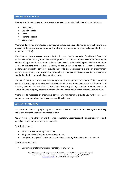## **INTERACTIVE SERVICES**

We may from time to time provide interactive services on our site, including, without limitation:

- Chat rooms.
- Bulletin boards.
- Blogs
- Remote Support
- Social Media

Where we do provide any interactive service, we will provide clear information to you about the kind of service offered, if it is moderated and what form of moderation is used (including whether it is human or technical).

We will do our best to assess any possible risks for users (and in particular, for children) from third parties when they use any interactive service provided on our site, and we will decide in each case whether it is appropriate to use moderation of the relevant service (including what kind of moderation to use) in the light of those risks. However, we are under no obligation to oversee, monitor or moderate any interactive service we provide on our site, and we expressly exclude our liability for any loss or damage arising from the use of any interactive service by a user in contravention of our content standards, whether the service is moderated or not.

The use of any of our interactive services by a minor is subject to the consent of their parent or guardian. We advise parents who permit their children to use an interactive service that it is important that they communicate with their children about their safety online, as moderation is not fool proof. Minors who are using any interactive service should be made aware of the potential risks to them.

Where we do moderate an interactive service, we will normally provide you with a means of contacting the moderator, should a concern or difficulty arise.

#### **CONTENT STANDARDS**

These content standards apply to any and all material which you contribute to our site **(contributions),** and to any interactive services associated with it.

You must comply with the spirit and the letter of the following standards. The standards apply to each part of any contribution as well as to its whole.

Contributions must:

- Be accurate (where they state facts).
- Be genuinely held (where they state opinions).
- Comply with applicable law in the UK and in any country from which they are posted.

Contributions must not:

• Contain any material which is defamatory of any person.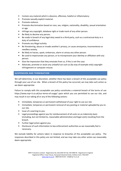- Contain any material which is obscene, offensive, hateful or inflammatory.
- Promote sexually explicit material.
- Promote violence.
- Promote discrimination based on race, sex, religion, nationality, disability, sexual orientation or age.
- Infringe any copyright, database right or trade mark of any other person.
- Be likely to deceive any person.
- Be made in breach of any legal duty owed to a third party, such as a contractual duty or a duty of confidence.
- Promote any illegal activity.
- Be threatening, abuse or invade another's privacy, or cause annoyance, inconvenience or needless anxiety.
- Be likely to harass, upset, embarrass, alarm or annoy any other person.
- Be used to impersonate any person, or to misrepresent your identity or affiliation with any person.
- Give the impression that they emanate from us, if this is not the case.
- Advocate, promote or assist any unlawful act such as (by way of example only) copyright infringement or computer misuse.

# **SUSPENSION AND TERMINATION**

We will determine, in our discretion, whether there has been a breach of this acceptable use policy through your use of our site. When a breach of this policy has occurred, we may take such action as we deem appropriate.

Failure to comply with this acceptable use policy constitutes a material breach of the terms of use https://www.mpr-it.co.uk/our-terms-of-usage/ upon which you are permitted to use our site, and may result in our taking all or any of the following actions:

- Immediate, temporary or permanent withdrawal of your right to use our site.
- Immediate, temporary or permanent removal of any posting or material uploaded by you to our site.
- Issue of a warning to you.
- Legal proceedings against you for reimbursement of all costs on an indemnity basis (including, but not limited to, reasonable administrative and legal costs) resulting from the breach.
- Further legal action against you.
- Disclosure of such information to law enforcement authorities as we reasonably feel is necessary.

We exclude liability for actions taken in response to breaches of this acceptable use policy. The responses described in this policy are not limited, and we may take any other action we reasonably deem appropriate.